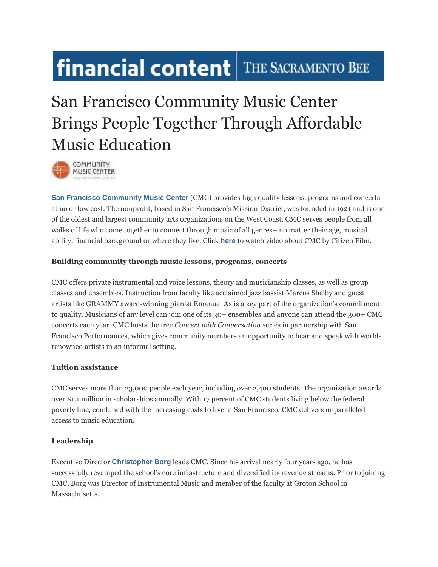# financial content | THE SACRAMENTO BEE

## San Francisco Community Music Center Brings People Together Through Affordable Music Education



**[San Francisco Community Music Center](http://cts.businesswire.com/ct/CT?id=smartlink&url=http%3A%2F%2Fsfcmc.org%2F&esheet=51102647&newsitemid=20150514005161&lan=en-US&anchor=San+Francisco+Community+Music+Center&index=1&md5=23ca0d808c7674b00a06090a65b2aae4)** (CMC) provides high quality lessons, programs and concerts at no or low cost. The nonprofit, based in San Francisco's Mission District, was founded in 1921 and is one of the oldest and largest community arts organizations on the West Coast. CMC serves people from all walks of life who come together to connect through music of all genres– no matter their age, musical ability, financial background or where they live. Click **[here](http://cts.businesswire.com/ct/CT?id=smartlink&url=https%3A%2F%2Fwww.youtube.com%2Fwatch%3Fv%3D_wmjx4L2kVo&esheet=51102647&newsitemid=20150514005161&lan=en-US&anchor=here&index=2&md5=7b1585300304152676d8148842933db3)** to watch video about CMC by Citizen Film.

#### **Building community through music lessons, programs, concerts**

CMC offers private instrumental and voice lessons, theory and musicianship classes, as well as group classes and ensembles. Instruction from faculty like acclaimed jazz bassist Marcus Shelby and guest artists like GRAMMY award-winning pianist Emanuel Ax is a key part of the organization's commitment to quality. Musicians of any level can join one of its 30+ ensembles and anyone can attend the 300+ CMC concerts each year. CMC hosts the free *Concert with Conversation* series in partnership with San Francisco Performances, which gives community members an opportunity to hear and speak with worldrenowned artists in an informal setting.

### **Tuition assistance**

CMC serves more than 23,000 people each year, including over 2,400 students. The organization awards over \$1.1 million in scholarships annually. With 17 percent of CMC students living below the federal poverty line, combined with the increasing costs to live in San Francisco, CMC delivers unparalleled access to music education.

### **Leadership**

Executive Director **[Christopher Borg](http://cts.businesswire.com/ct/CT?id=smartlink&url=http%3A%2F%2Fsfcmc.org%2Fabout%2Fboard-and-staff%2F%23staff&esheet=51102647&newsitemid=20150514005161&lan=en-US&anchor=Christopher+Borg&index=3&md5=af94c2985da7b26cf976f12fe8a43bf0)** leads CMC. Since his arrival nearly four years ago, he has successfully revamped the school's core infrastructure and diversified its revenue streams. Prior to joining CMC, Borg was Director of Instrumental Music and member of the faculty at Groton School in Massachusetts.